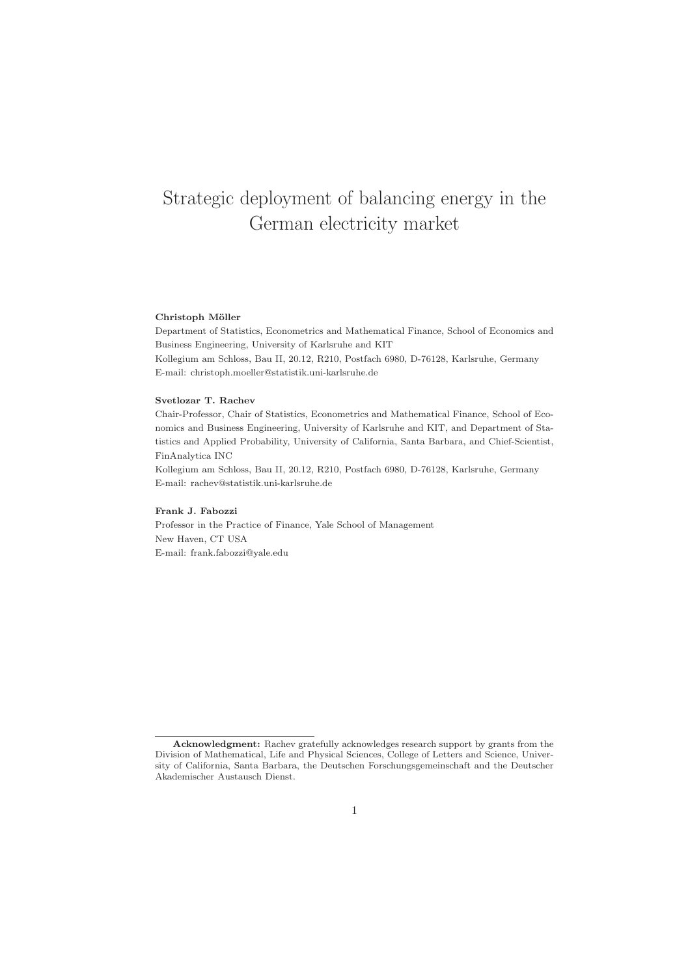# Strategic deployment of balancing energy in the German electricity market

#### Christoph Möller

Department of Statistics, Econometrics and Mathematical Finance, School of Economics and Business Engineering, University of Karlsruhe and KIT Kollegium am Schloss, Bau II, 20.12, R210, Postfach 6980, D-76128, Karlsruhe, Germany E-mail: christoph.moeller@statistik.uni-karlsruhe.de

#### Svetlozar T. Rachev

Chair-Professor, Chair of Statistics, Econometrics and Mathematical Finance, School of Economics and Business Engineering, University of Karlsruhe and KIT, and Department of Statistics and Applied Probability, University of California, Santa Barbara, and Chief-Scientist, FinAnalytica INC

Kollegium am Schloss, Bau II, 20.12, R210, Postfach 6980, D-76128, Karlsruhe, Germany E-mail: rachev@statistik.uni-karlsruhe.de

#### Frank J. Fabozzi

Professor in the Practice of Finance, Yale School of Management New Haven, CT USA E-mail: frank.fabozzi@yale.edu

Acknowledgment: Rachev gratefully acknowledges research support by grants from the Division of Mathematical, Life and Physical Sciences, College of Letters and Science, University of California, Santa Barbara, the Deutschen Forschungsgemeinschaft and the Deutscher Akademischer Austausch Dienst.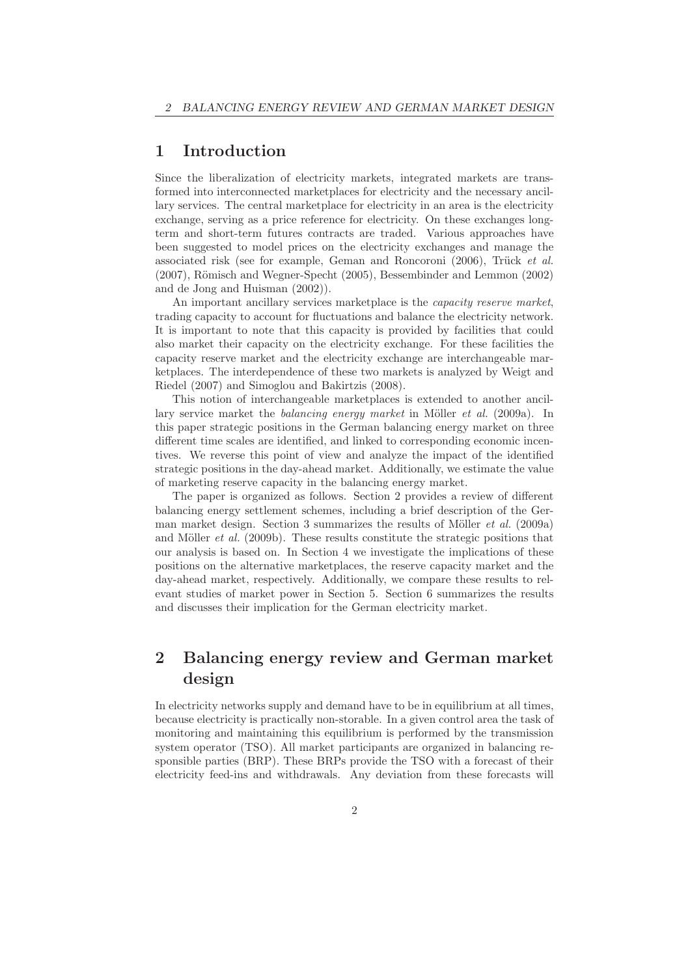### 1 Introduction

Since the liberalization of electricity markets, integrated markets are transformed into interconnected marketplaces for electricity and the necessary ancillary services. The central marketplace for electricity in an area is the electricity exchange, serving as a price reference for electricity. On these exchanges longterm and short-term futures contracts are traded. Various approaches have been suggested to model prices on the electricity exchanges and manage the associated risk (see for example, Geman and Roncoroni  $(2006)$ , Trück *et al.*  $(2007)$ , Römisch and Wegner-Specht  $(2005)$ , Bessembinder and Lemmon  $(2002)$ and de Jong and Huisman (2002)).

An important ancillary services marketplace is the *capacity reserve market*, trading capacity to account for fluctuations and balance the electricity network. It is important to note that this capacity is provided by facilities that could also market their capacity on the electricity exchange. For these facilities the capacity reserve market and the electricity exchange are interchangeable marketplaces. The interdependence of these two markets is analyzed by Weigt and Riedel (2007) and Simoglou and Bakirtzis (2008).

This notion of interchangeable marketplaces is extended to another ancillary service market the *balancing energy market* in Möller *et al.* (2009a). In this paper strategic positions in the German balancing energy market on three different time scales are identified, and linked to corresponding economic incentives. We reverse this point of view and analyze the impact of the identified strategic positions in the day-ahead market. Additionally, we estimate the value of marketing reserve capacity in the balancing energy market.

The paper is organized as follows. Section 2 provides a review of different balancing energy settlement schemes, including a brief description of the German market design. Section 3 summarizes the results of Möller  $et$  al. (2009a) and Möller  $et$  al. (2009b). These results constitute the strategic positions that our analysis is based on. In Section 4 we investigate the implications of these positions on the alternative marketplaces, the reserve capacity market and the day-ahead market, respectively. Additionally, we compare these results to relevant studies of market power in Section 5. Section 6 summarizes the results and discusses their implication for the German electricity market.

## 2 Balancing energy review and German market design

In electricity networks supply and demand have to be in equilibrium at all times, because electricity is practically non-storable. In a given control area the task of monitoring and maintaining this equilibrium is performed by the transmission system operator (TSO). All market participants are organized in balancing responsible parties (BRP). These BRPs provide the TSO with a forecast of their electricity feed-ins and withdrawals. Any deviation from these forecasts will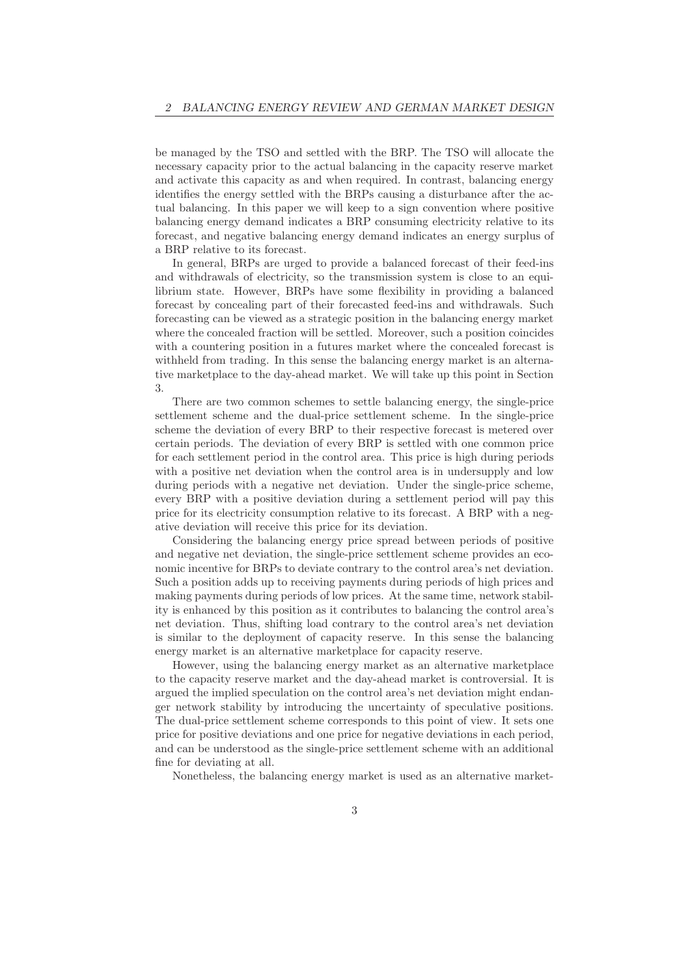be managed by the TSO and settled with the BRP. The TSO will allocate the necessary capacity prior to the actual balancing in the capacity reserve market and activate this capacity as and when required. In contrast, balancing energy identifies the energy settled with the BRPs causing a disturbance after the actual balancing. In this paper we will keep to a sign convention where positive balancing energy demand indicates a BRP consuming electricity relative to its forecast, and negative balancing energy demand indicates an energy surplus of a BRP relative to its forecast.

In general, BRPs are urged to provide a balanced forecast of their feed-ins and withdrawals of electricity, so the transmission system is close to an equilibrium state. However, BRPs have some flexibility in providing a balanced forecast by concealing part of their forecasted feed-ins and withdrawals. Such forecasting can be viewed as a strategic position in the balancing energy market where the concealed fraction will be settled. Moreover, such a position coincides with a countering position in a futures market where the concealed forecast is withheld from trading. In this sense the balancing energy market is an alternative marketplace to the day-ahead market. We will take up this point in Section 3.

There are two common schemes to settle balancing energy, the single-price settlement scheme and the dual-price settlement scheme. In the single-price scheme the deviation of every BRP to their respective forecast is metered over certain periods. The deviation of every BRP is settled with one common price for each settlement period in the control area. This price is high during periods with a positive net deviation when the control area is in undersupply and low during periods with a negative net deviation. Under the single-price scheme, every BRP with a positive deviation during a settlement period will pay this price for its electricity consumption relative to its forecast. A BRP with a negative deviation will receive this price for its deviation.

Considering the balancing energy price spread between periods of positive and negative net deviation, the single-price settlement scheme provides an economic incentive for BRPs to deviate contrary to the control area's net deviation. Such a position adds up to receiving payments during periods of high prices and making payments during periods of low prices. At the same time, network stability is enhanced by this position as it contributes to balancing the control area's net deviation. Thus, shifting load contrary to the control area's net deviation is similar to the deployment of capacity reserve. In this sense the balancing energy market is an alternative marketplace for capacity reserve.

However, using the balancing energy market as an alternative marketplace to the capacity reserve market and the day-ahead market is controversial. It is argued the implied speculation on the control area's net deviation might endanger network stability by introducing the uncertainty of speculative positions. The dual-price settlement scheme corresponds to this point of view. It sets one price for positive deviations and one price for negative deviations in each period, and can be understood as the single-price settlement scheme with an additional fine for deviating at all.

Nonetheless, the balancing energy market is used as an alternative market-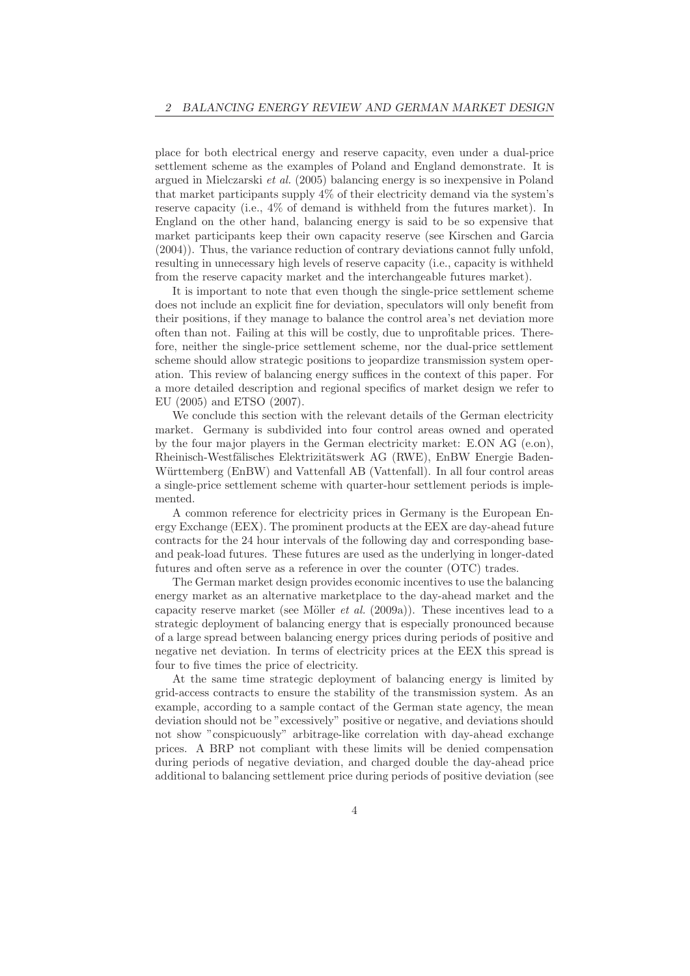place for both electrical energy and reserve capacity, even under a dual-price settlement scheme as the examples of Poland and England demonstrate. It is argued in Mielczarski et al. (2005) balancing energy is so inexpensive in Poland that market participants supply 4% of their electricity demand via the system's reserve capacity (i.e., 4% of demand is withheld from the futures market). In England on the other hand, balancing energy is said to be so expensive that market participants keep their own capacity reserve (see Kirschen and Garcia (2004)). Thus, the variance reduction of contrary deviations cannot fully unfold, resulting in unnecessary high levels of reserve capacity (i.e., capacity is withheld from the reserve capacity market and the interchangeable futures market).

It is important to note that even though the single-price settlement scheme does not include an explicit fine for deviation, speculators will only benefit from their positions, if they manage to balance the control area's net deviation more often than not. Failing at this will be costly, due to unprofitable prices. Therefore, neither the single-price settlement scheme, nor the dual-price settlement scheme should allow strategic positions to jeopardize transmission system operation. This review of balancing energy suffices in the context of this paper. For a more detailed description and regional specifics of market design we refer to EU (2005) and ETSO (2007).

We conclude this section with the relevant details of the German electricity market. Germany is subdivided into four control areas owned and operated by the four major players in the German electricity market: E.ON AG (e.on), Rheinisch-Westfälisches Elektrizitätswerk AG (RWE), EnBW Energie Baden-Württemberg (EnBW) and Vattenfall AB (Vattenfall). In all four control areas a single-price settlement scheme with quarter-hour settlement periods is implemented.

A common reference for electricity prices in Germany is the European Energy Exchange (EEX). The prominent products at the EEX are day-ahead future contracts for the 24 hour intervals of the following day and corresponding baseand peak-load futures. These futures are used as the underlying in longer-dated futures and often serve as a reference in over the counter (OTC) trades.

The German market design provides economic incentives to use the balancing energy market as an alternative marketplace to the day-ahead market and the capacity reserve market (see Möller *et al.* (2009a)). These incentives lead to a strategic deployment of balancing energy that is especially pronounced because of a large spread between balancing energy prices during periods of positive and negative net deviation. In terms of electricity prices at the EEX this spread is four to five times the price of electricity.

At the same time strategic deployment of balancing energy is limited by grid-access contracts to ensure the stability of the transmission system. As an example, according to a sample contact of the German state agency, the mean deviation should not be "excessively" positive or negative, and deviations should not show "conspicuously" arbitrage-like correlation with day-ahead exchange prices. A BRP not compliant with these limits will be denied compensation during periods of negative deviation, and charged double the day-ahead price additional to balancing settlement price during periods of positive deviation (see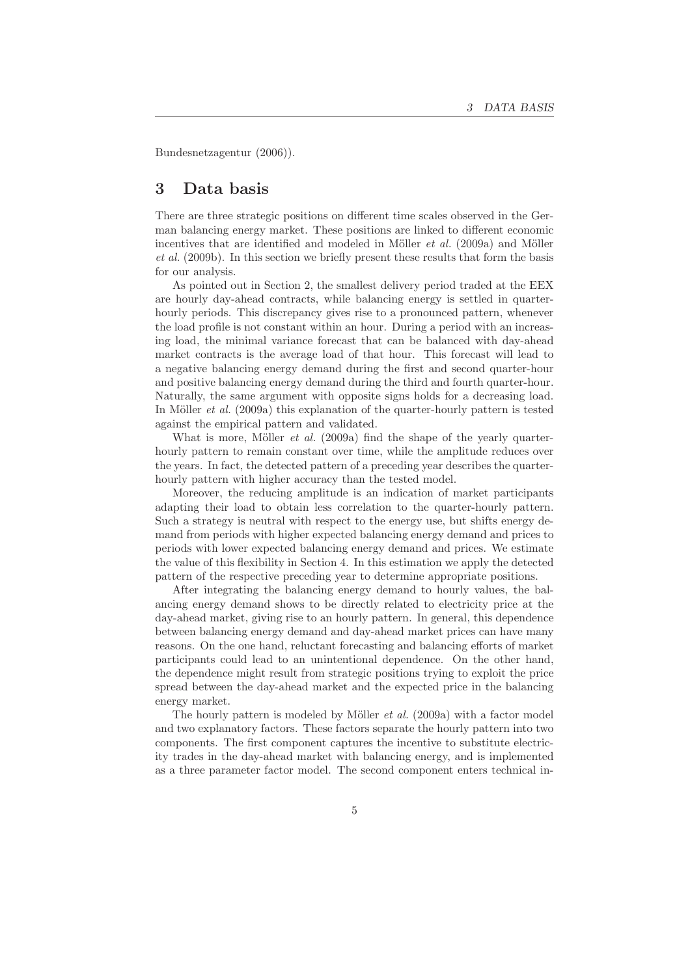Bundesnetzagentur (2006)).

### 3 Data basis

There are three strategic positions on different time scales observed in the German balancing energy market. These positions are linked to different economic incentives that are identified and modeled in Möller *et al.* (2009a) and Möller et al. (2009b). In this section we briefly present these results that form the basis for our analysis.

As pointed out in Section 2, the smallest delivery period traded at the EEX are hourly day-ahead contracts, while balancing energy is settled in quarterhourly periods. This discrepancy gives rise to a pronounced pattern, whenever the load profile is not constant within an hour. During a period with an increasing load, the minimal variance forecast that can be balanced with day-ahead market contracts is the average load of that hour. This forecast will lead to a negative balancing energy demand during the first and second quarter-hour and positive balancing energy demand during the third and fourth quarter-hour. Naturally, the same argument with opposite signs holds for a decreasing load. In Möller *et al.* (2009a) this explanation of the quarter-hourly pattern is tested against the empirical pattern and validated.

What is more, Möller *et al.* (2009a) find the shape of the yearly quarterhourly pattern to remain constant over time, while the amplitude reduces over the years. In fact, the detected pattern of a preceding year describes the quarterhourly pattern with higher accuracy than the tested model.

Moreover, the reducing amplitude is an indication of market participants adapting their load to obtain less correlation to the quarter-hourly pattern. Such a strategy is neutral with respect to the energy use, but shifts energy demand from periods with higher expected balancing energy demand and prices to periods with lower expected balancing energy demand and prices. We estimate the value of this flexibility in Section 4. In this estimation we apply the detected pattern of the respective preceding year to determine appropriate positions.

After integrating the balancing energy demand to hourly values, the balancing energy demand shows to be directly related to electricity price at the day-ahead market, giving rise to an hourly pattern. In general, this dependence between balancing energy demand and day-ahead market prices can have many reasons. On the one hand, reluctant forecasting and balancing efforts of market participants could lead to an unintentional dependence. On the other hand, the dependence might result from strategic positions trying to exploit the price spread between the day-ahead market and the expected price in the balancing energy market.

The hourly pattern is modeled by Möller  $et \ al.$  (2009a) with a factor model and two explanatory factors. These factors separate the hourly pattern into two components. The first component captures the incentive to substitute electricity trades in the day-ahead market with balancing energy, and is implemented as a three parameter factor model. The second component enters technical in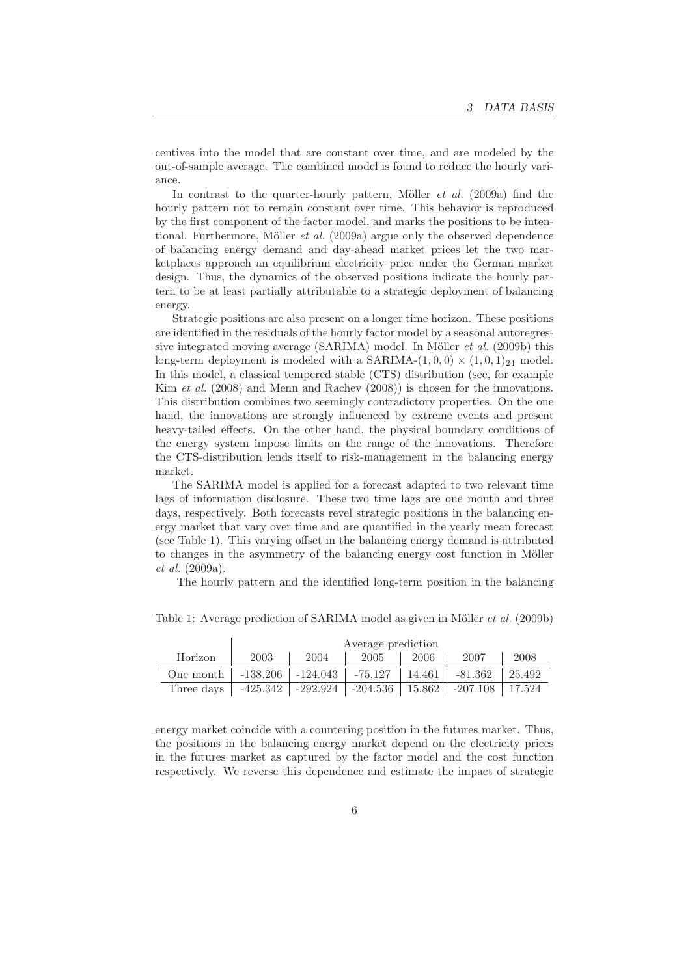centives into the model that are constant over time, and are modeled by the out-of-sample average. The combined model is found to reduce the hourly variance.

In contrast to the quarter-hourly pattern, Möller  $et \ al.$  (2009a) find the hourly pattern not to remain constant over time. This behavior is reproduced by the first component of the factor model, and marks the positions to be intentional. Furthermore, Möller *et al.* (2009a) argue only the observed dependence of balancing energy demand and day-ahead market prices let the two marketplaces approach an equilibrium electricity price under the German market design. Thus, the dynamics of the observed positions indicate the hourly pattern to be at least partially attributable to a strategic deployment of balancing energy.

Strategic positions are also present on a longer time horizon. These positions are identified in the residuals of the hourly factor model by a seasonal autoregressive integrated moving average  $(SARIMA)$  model. In Möller *et al.* (2009b) this long-term deployment is modeled with a SARIMA- $(1, 0, 0) \times (1, 0, 1)_{24}$  model. In this model, a classical tempered stable (CTS) distribution (see, for example Kim et al. (2008) and Menn and Rachev (2008)) is chosen for the innovations. This distribution combines two seemingly contradictory properties. On the one hand, the innovations are strongly influenced by extreme events and present heavy-tailed effects. On the other hand, the physical boundary conditions of the energy system impose limits on the range of the innovations. Therefore the CTS-distribution lends itself to risk-management in the balancing energy market.

The SARIMA model is applied for a forecast adapted to two relevant time lags of information disclosure. These two time lags are one month and three days, respectively. Both forecasts revel strategic positions in the balancing energy market that vary over time and are quantified in the yearly mean forecast (see Table 1). This varying offset in the balancing energy demand is attributed to changes in the asymmetry of the balancing energy cost function in Möller et al. (2009a).

The hourly pattern and the identified long-term position in the balancing

|                                                                | Average prediction |      |         |        |            |        |
|----------------------------------------------------------------|--------------------|------|---------|--------|------------|--------|
| Horizon                                                        | 2003               | 2004 | 2005    | 2006   | 2007       | 2008   |
| One month $\parallel$ -138.206 $\parallel$ -124.043            |                    |      | -75.127 | 14.461 | -81.362    | 25.492 |
| Three days $\parallel$ -425.342   -292.924   -204.536   15.862 |                    |      |         |        | $-207.108$ | 17.524 |

Table 1: Average prediction of SARIMA model as given in Möller *et al.* (2009b)

energy market coincide with a countering position in the futures market. Thus, the positions in the balancing energy market depend on the electricity prices in the futures market as captured by the factor model and the cost function respectively. We reverse this dependence and estimate the impact of strategic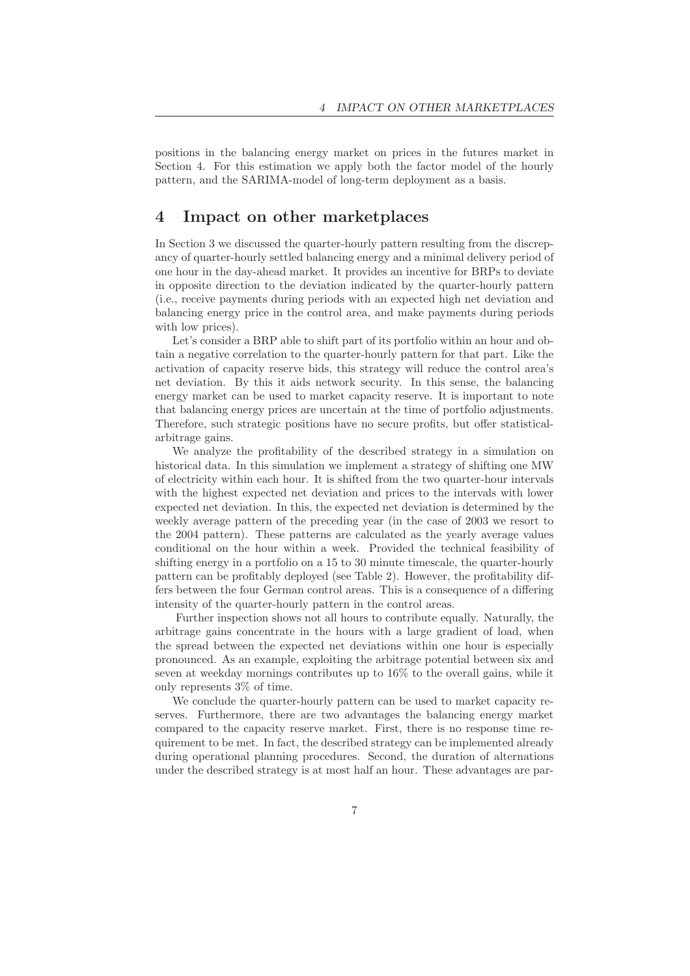positions in the balancing energy market on prices in the futures market in Section 4. For this estimation we apply both the factor model of the hourly pattern, and the SARIMA-model of long-term deployment as a basis.

#### 4 Impact on other marketplaces

In Section 3 we discussed the quarter-hourly pattern resulting from the discrepancy of quarter-hourly settled balancing energy and a minimal delivery period of one hour in the day-ahead market. It provides an incentive for BRPs to deviate in opposite direction to the deviation indicated by the quarter-hourly pattern (i.e., receive payments during periods with an expected high net deviation and balancing energy price in the control area, and make payments during periods with low prices).

Let's consider a BRP able to shift part of its portfolio within an hour and obtain a negative correlation to the quarter-hourly pattern for that part. Like the activation of capacity reserve bids, this strategy will reduce the control area's net deviation. By this it aids network security. In this sense, the balancing energy market can be used to market capacity reserve. It is important to note that balancing energy prices are uncertain at the time of portfolio adjustments. Therefore, such strategic positions have no secure profits, but offer statisticalarbitrage gains.

We analyze the profitability of the described strategy in a simulation on historical data. In this simulation we implement a strategy of shifting one MW of electricity within each hour. It is shifted from the two quarter-hour intervals with the highest expected net deviation and prices to the intervals with lower expected net deviation. In this, the expected net deviation is determined by the weekly average pattern of the preceding year (in the case of 2003 we resort to the 2004 pattern). These patterns are calculated as the yearly average values conditional on the hour within a week. Provided the technical feasibility of shifting energy in a portfolio on a 15 to 30 minute timescale, the quarter-hourly pattern can be profitably deployed (see Table 2). However, the profitability differs between the four German control areas. This is a consequence of a differing intensity of the quarter-hourly pattern in the control areas.

Further inspection shows not all hours to contribute equally. Naturally, the arbitrage gains concentrate in the hours with a large gradient of load, when the spread between the expected net deviations within one hour is especially pronounced. As an example, exploiting the arbitrage potential between six and seven at weekday mornings contributes up to 16% to the overall gains, while it only represents 3% of time.

We conclude the quarter-hourly pattern can be used to market capacity reserves. Furthermore, there are two advantages the balancing energy market compared to the capacity reserve market. First, there is no response time requirement to be met. In fact, the described strategy can be implemented already during operational planning procedures. Second, the duration of alternations under the described strategy is at most half an hour. These advantages are par-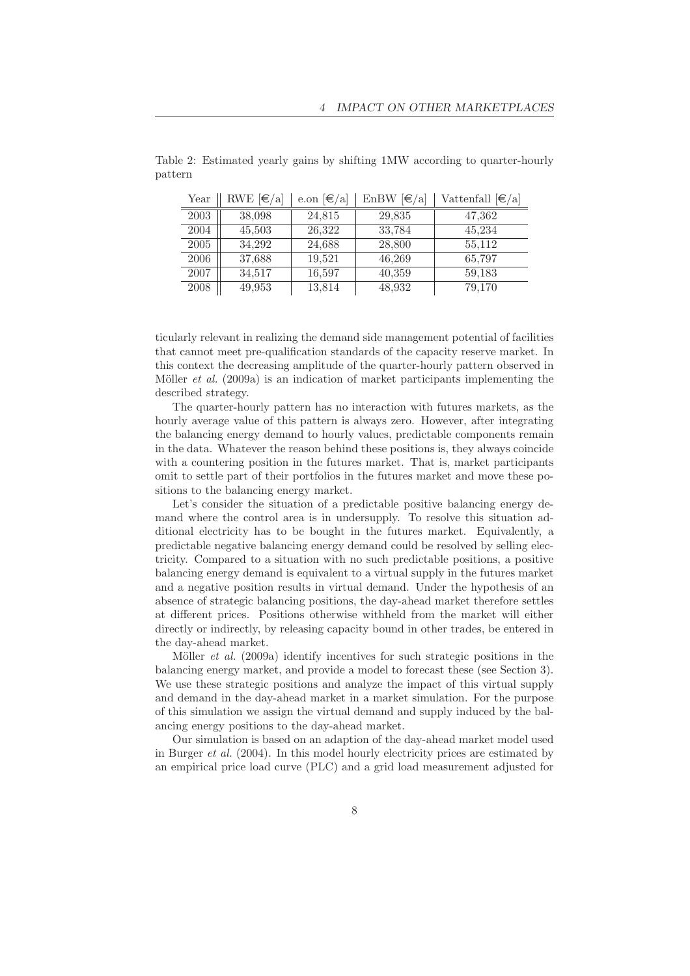| Year | RWE $\left[\in\right]$ a | e.on $\left[\in\right]$ | EnBW $[\infty]$ | Vattenfall $[\infty]$ |
|------|--------------------------|-------------------------|-----------------|-----------------------|
| 2003 | 38,098                   | 24.815                  | 29,835          | 47,362                |
| 2004 | 45,503                   | 26,322                  | 33,784          | 45,234                |
| 2005 | 34.292                   | 24,688                  | 28,800          | 55,112                |
| 2006 | 37,688                   | 19,521                  | 46,269          | 65,797                |
| 2007 | 34,517                   | 16,597                  | 40,359          | 59,183                |
| 2008 | 49,953                   | 13,814                  | 48,932          | 79,170                |

Table 2: Estimated yearly gains by shifting 1MW according to quarter-hourly pattern

ticularly relevant in realizing the demand side management potential of facilities that cannot meet pre-qualification standards of the capacity reserve market. In this context the decreasing amplitude of the quarter-hourly pattern observed in Möller *et al.* (2009a) is an indication of market participants implementing the described strategy.

The quarter-hourly pattern has no interaction with futures markets, as the hourly average value of this pattern is always zero. However, after integrating the balancing energy demand to hourly values, predictable components remain in the data. Whatever the reason behind these positions is, they always coincide with a countering position in the futures market. That is, market participants omit to settle part of their portfolios in the futures market and move these positions to the balancing energy market.

Let's consider the situation of a predictable positive balancing energy demand where the control area is in undersupply. To resolve this situation additional electricity has to be bought in the futures market. Equivalently, a predictable negative balancing energy demand could be resolved by selling electricity. Compared to a situation with no such predictable positions, a positive balancing energy demand is equivalent to a virtual supply in the futures market and a negative position results in virtual demand. Under the hypothesis of an absence of strategic balancing positions, the day-ahead market therefore settles at different prices. Positions otherwise withheld from the market will either directly or indirectly, by releasing capacity bound in other trades, be entered in the day-ahead market.

Möller *et al.* (2009a) identify incentives for such strategic positions in the balancing energy market, and provide a model to forecast these (see Section 3). We use these strategic positions and analyze the impact of this virtual supply and demand in the day-ahead market in a market simulation. For the purpose of this simulation we assign the virtual demand and supply induced by the balancing energy positions to the day-ahead market.

Our simulation is based on an adaption of the day-ahead market model used in Burger et al. (2004). In this model hourly electricity prices are estimated by an empirical price load curve (PLC) and a grid load measurement adjusted for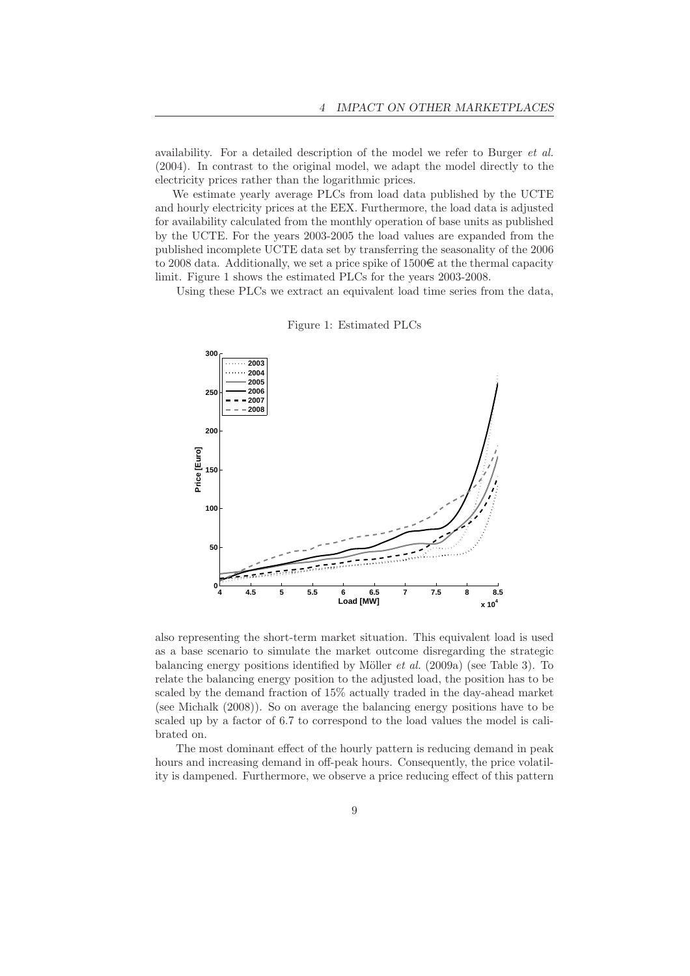availability. For a detailed description of the model we refer to Burger et al. (2004). In contrast to the original model, we adapt the model directly to the electricity prices rather than the logarithmic prices.

We estimate yearly average PLCs from load data published by the UCTE and hourly electricity prices at the EEX. Furthermore, the load data is adjusted for availability calculated from the monthly operation of base units as published by the UCTE. For the years 2003-2005 the load values are expanded from the published incomplete UCTE data set by transferring the seasonality of the 2006 to 2008 data. Additionally, we set a price spike of  $1500\epsilon$  at the thermal capacity limit. Figure 1 shows the estimated PLCs for the years 2003-2008.

Using these PLCs we extract an equivalent load time series from the data,



Figure 1: Estimated PLCs

also representing the short-term market situation. This equivalent load is used as a base scenario to simulate the market outcome disregarding the strategic balancing energy positions identified by Möller *et al.* (2009a) (see Table 3). To relate the balancing energy position to the adjusted load, the position has to be scaled by the demand fraction of 15% actually traded in the day-ahead market (see Michalk (2008)). So on average the balancing energy positions have to be scaled up by a factor of 6.7 to correspond to the load values the model is calibrated on.

The most dominant effect of the hourly pattern is reducing demand in peak hours and increasing demand in off-peak hours. Consequently, the price volatility is dampened. Furthermore, we observe a price reducing effect of this pattern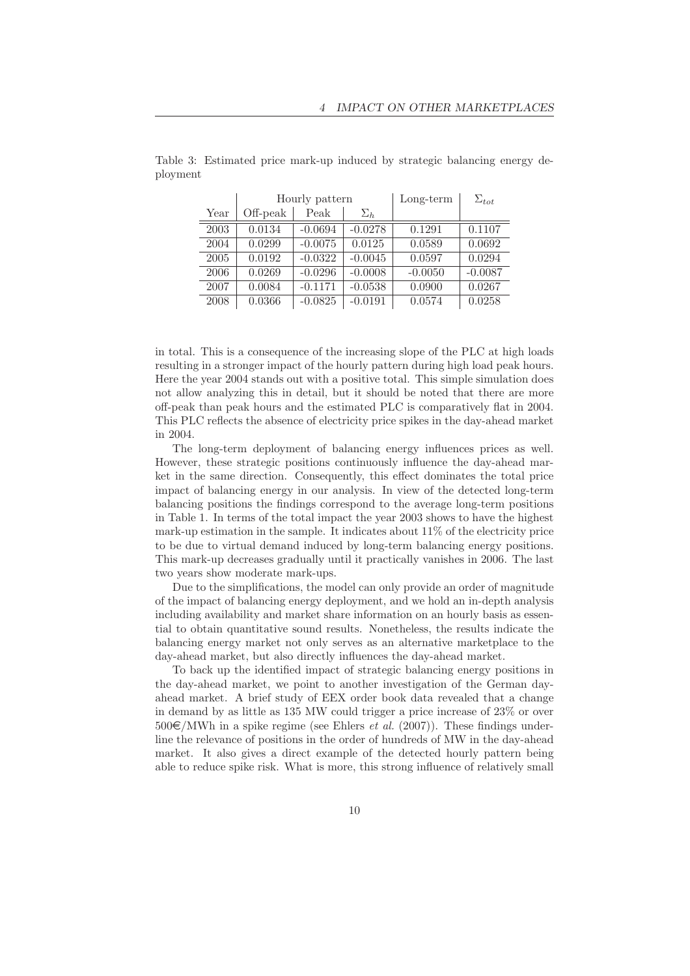|      | Hourly pattern |           |            | $Long-term$ | $\Sigma_{tot}$ |
|------|----------------|-----------|------------|-------------|----------------|
| Year | Off-peak       | Peak      | $\Sigma_h$ |             |                |
| 2003 | 0.0134         | $-0.0694$ | $-0.0278$  | 0.1291      | 0.1107         |
| 2004 | 0.0299         | $-0.0075$ | 0.0125     | 0.0589      | 0.0692         |
| 2005 | 0.0192         | $-0.0322$ | $-0.0045$  | 0.0597      | 0.0294         |
| 2006 | 0.0269         | $-0.0296$ | $-0.0008$  | $-0.0050$   | $-0.0087$      |
| 2007 | 0.0084         | $-0.1171$ | $-0.0538$  | 0.0900      | 0.0267         |
| 2008 | 0.0366         | $-0.0825$ | $-0.0191$  | 0.0574      | 0.0258         |

Table 3: Estimated price mark-up induced by strategic balancing energy deployment

in total. This is a consequence of the increasing slope of the PLC at high loads resulting in a stronger impact of the hourly pattern during high load peak hours. Here the year 2004 stands out with a positive total. This simple simulation does not allow analyzing this in detail, but it should be noted that there are more off-peak than peak hours and the estimated PLC is comparatively flat in 2004. This PLC reflects the absence of electricity price spikes in the day-ahead market in 2004.

The long-term deployment of balancing energy influences prices as well. However, these strategic positions continuously influence the day-ahead market in the same direction. Consequently, this effect dominates the total price impact of balancing energy in our analysis. In view of the detected long-term balancing positions the findings correspond to the average long-term positions in Table 1. In terms of the total impact the year 2003 shows to have the highest mark-up estimation in the sample. It indicates about 11% of the electricity price to be due to virtual demand induced by long-term balancing energy positions. This mark-up decreases gradually until it practically vanishes in 2006. The last two years show moderate mark-ups.

Due to the simplifications, the model can only provide an order of magnitude of the impact of balancing energy deployment, and we hold an in-depth analysis including availability and market share information on an hourly basis as essential to obtain quantitative sound results. Nonetheless, the results indicate the balancing energy market not only serves as an alternative marketplace to the day-ahead market, but also directly influences the day-ahead market.

To back up the identified impact of strategic balancing energy positions in the day-ahead market, we point to another investigation of the German dayahead market. A brief study of EEX order book data revealed that a change in demand by as little as 135 MW could trigger a price increase of 23% or over  $500 \in \text{/MWh}$  in a spike regime (see Ehlers *et al.* (2007)). These findings underline the relevance of positions in the order of hundreds of MW in the day-ahead market. It also gives a direct example of the detected hourly pattern being able to reduce spike risk. What is more, this strong influence of relatively small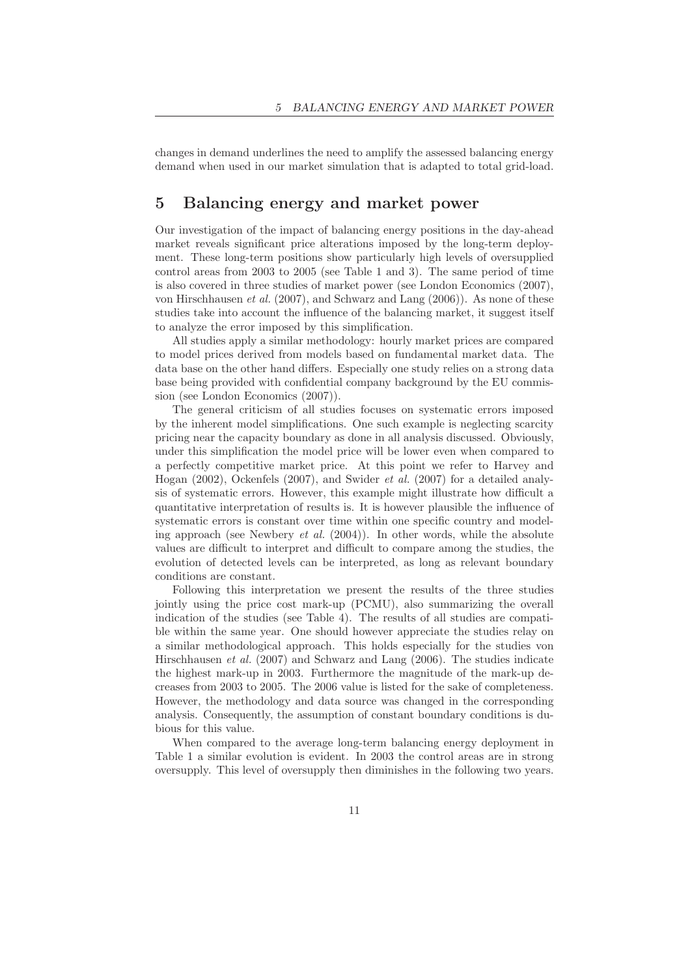changes in demand underlines the need to amplify the assessed balancing energy demand when used in our market simulation that is adapted to total grid-load.

### 5 Balancing energy and market power

Our investigation of the impact of balancing energy positions in the day-ahead market reveals significant price alterations imposed by the long-term deployment. These long-term positions show particularly high levels of oversupplied control areas from 2003 to 2005 (see Table 1 and 3). The same period of time is also covered in three studies of market power (see London Economics (2007), von Hirschhausen et al. (2007), and Schwarz and Lang (2006)). As none of these studies take into account the influence of the balancing market, it suggest itself to analyze the error imposed by this simplification.

All studies apply a similar methodology: hourly market prices are compared to model prices derived from models based on fundamental market data. The data base on the other hand differs. Especially one study relies on a strong data base being provided with confidential company background by the EU commission (see London Economics (2007)).

The general criticism of all studies focuses on systematic errors imposed by the inherent model simplifications. One such example is neglecting scarcity pricing near the capacity boundary as done in all analysis discussed. Obviously, under this simplification the model price will be lower even when compared to a perfectly competitive market price. At this point we refer to Harvey and Hogan (2002), Ockenfels (2007), and Swider et al. (2007) for a detailed analysis of systematic errors. However, this example might illustrate how difficult a quantitative interpretation of results is. It is however plausible the influence of systematic errors is constant over time within one specific country and modeling approach (see Newbery *et al.*  $(2004)$ ). In other words, while the absolute values are difficult to interpret and difficult to compare among the studies, the evolution of detected levels can be interpreted, as long as relevant boundary conditions are constant.

Following this interpretation we present the results of the three studies jointly using the price cost mark-up (PCMU), also summarizing the overall indication of the studies (see Table 4). The results of all studies are compatible within the same year. One should however appreciate the studies relay on a similar methodological approach. This holds especially for the studies von Hirschhausen et al. (2007) and Schwarz and Lang (2006). The studies indicate the highest mark-up in 2003. Furthermore the magnitude of the mark-up decreases from 2003 to 2005. The 2006 value is listed for the sake of completeness. However, the methodology and data source was changed in the corresponding analysis. Consequently, the assumption of constant boundary conditions is dubious for this value.

When compared to the average long-term balancing energy deployment in Table 1 a similar evolution is evident. In 2003 the control areas are in strong oversupply. This level of oversupply then diminishes in the following two years.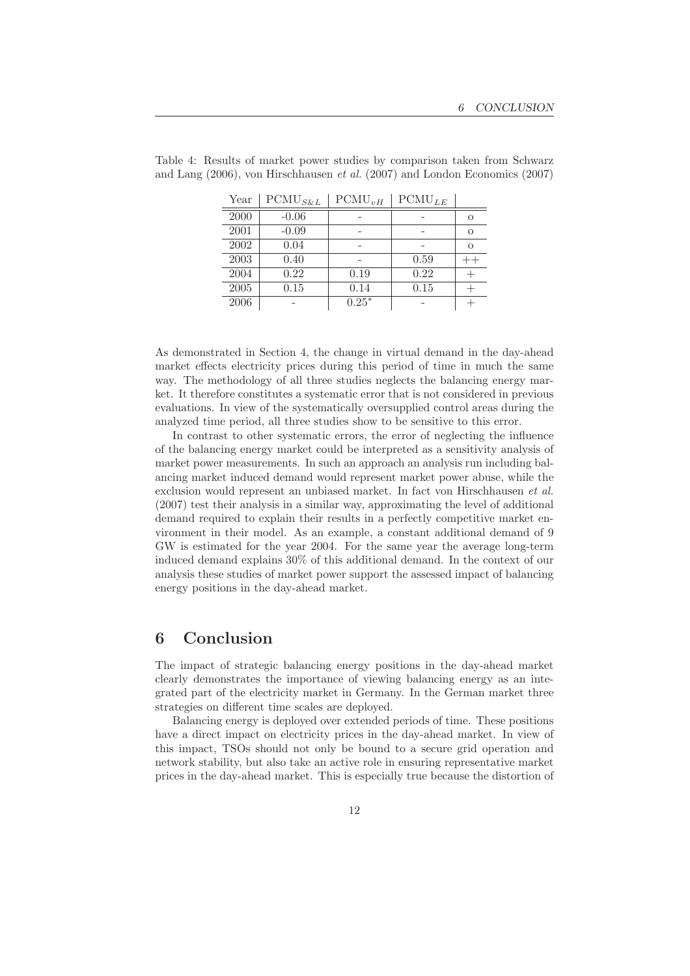| Year | $\text{PCMU}_{S\&L}$ | $\text{PCMU}_{vH}$ | $\text{PCMU}_{LE}$ |          |
|------|----------------------|--------------------|--------------------|----------|
| 2000 | $-0.06$              |                    |                    | $\Omega$ |
| 2001 | $-0.09$              |                    |                    | $\Omega$ |
| 2002 | 0.04                 |                    |                    | $\Omega$ |
| 2003 | 0.40                 |                    | 0.59               |          |
| 2004 | 0.22                 | 0.19               | 0.22               |          |
| 2005 | 0.15                 | 0.14               | 0.15               |          |
| 2006 |                      | $0.25*$            |                    |          |

Table 4: Results of market power studies by comparison taken from Schwarz and Lang (2006), von Hirschhausen et al. (2007) and London Economics (2007)

As demonstrated in Section 4, the change in virtual demand in the day-ahead market effects electricity prices during this period of time in much the same way. The methodology of all three studies neglects the balancing energy market. It therefore constitutes a systematic error that is not considered in previous evaluations. In view of the systematically oversupplied control areas during the analyzed time period, all three studies show to be sensitive to this error.

In contrast to other systematic errors, the error of neglecting the influence of the balancing energy market could be interpreted as a sensitivity analysis of market power measurements. In such an approach an analysis run including balancing market induced demand would represent market power abuse, while the exclusion would represent an unbiased market. In fact von Hirschhausen et al. (2007) test their analysis in a similar way, approximating the level of additional demand required to explain their results in a perfectly competitive market environment in their model. As an example, a constant additional demand of 9 GW is estimated for the year 2004. For the same year the average long-term induced demand explains 30% of this additional demand. In the context of our analysis these studies of market power support the assessed impact of balancing energy positions in the day-ahead market.

#### 6 Conclusion

The impact of strategic balancing energy positions in the day-ahead market clearly demonstrates the importance of viewing balancing energy as an integrated part of the electricity market in Germany. In the German market three strategies on different time scales are deployed.

Balancing energy is deployed over extended periods of time. These positions have a direct impact on electricity prices in the day-ahead market. In view of this impact, TSOs should not only be bound to a secure grid operation and network stability, but also take an active role in ensuring representative market prices in the day-ahead market. This is especially true because the distortion of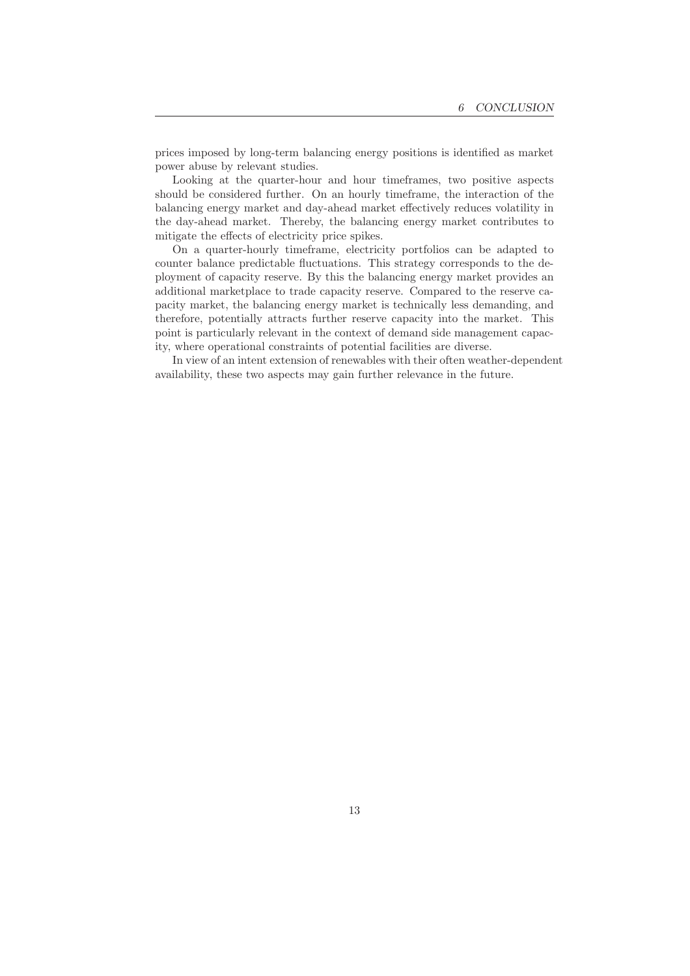prices imposed by long-term balancing energy positions is identified as market power abuse by relevant studies.

Looking at the quarter-hour and hour timeframes, two positive aspects should be considered further. On an hourly timeframe, the interaction of the balancing energy market and day-ahead market effectively reduces volatility in the day-ahead market. Thereby, the balancing energy market contributes to mitigate the effects of electricity price spikes.

On a quarter-hourly timeframe, electricity portfolios can be adapted to counter balance predictable fluctuations. This strategy corresponds to the deployment of capacity reserve. By this the balancing energy market provides an additional marketplace to trade capacity reserve. Compared to the reserve capacity market, the balancing energy market is technically less demanding, and therefore, potentially attracts further reserve capacity into the market. This point is particularly relevant in the context of demand side management capacity, where operational constraints of potential facilities are diverse.

In view of an intent extension of renewables with their often weather-dependent availability, these two aspects may gain further relevance in the future.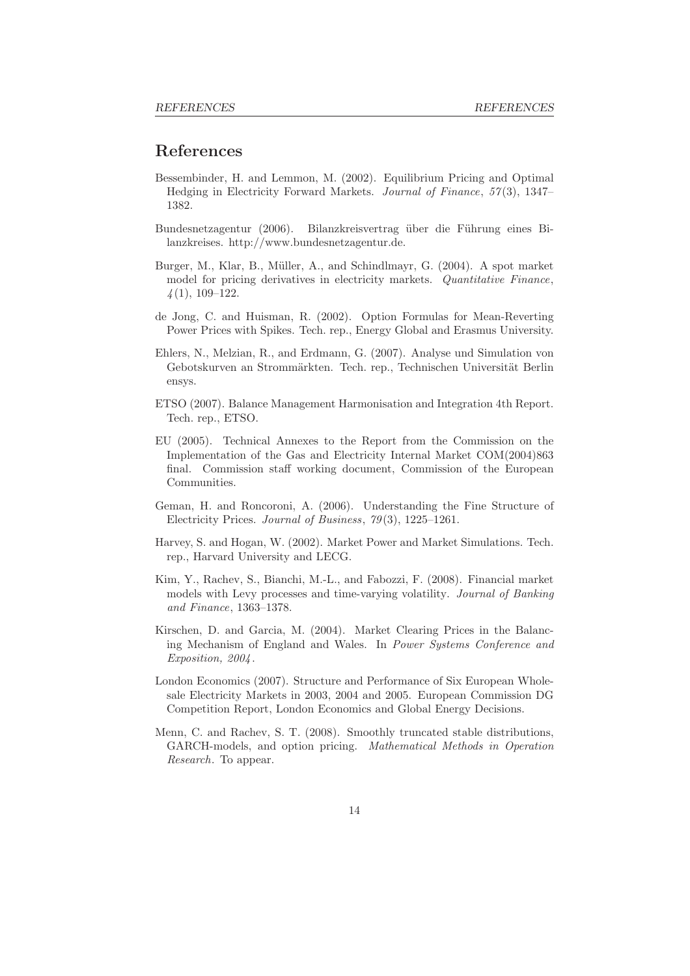#### References

- Bessembinder, H. and Lemmon, M. (2002). Equilibrium Pricing and Optimal Hedging in Electricity Forward Markets. Journal of Finance, 57 (3), 1347– 1382.
- Bundesnetzagentur (2006). Bilanzkreisvertrag über die Führung eines Bilanzkreises. http://www.bundesnetzagentur.de.
- Burger, M., Klar, B., Müller, A., and Schindlmayr, G. (2004). A spot market model for pricing derivatives in electricity markets. *Quantitative Finance*,  $\frac{1}{4}(1), 109-122.$
- de Jong, C. and Huisman, R. (2002). Option Formulas for Mean-Reverting Power Prices with Spikes. Tech. rep., Energy Global and Erasmus University.
- Ehlers, N., Melzian, R., and Erdmann, G. (2007). Analyse und Simulation von Gebotskurven an Strommärkten. Tech. rep., Technischen Universität Berlin ensys.
- ETSO (2007). Balance Management Harmonisation and Integration 4th Report. Tech. rep., ETSO.
- EU (2005). Technical Annexes to the Report from the Commission on the Implementation of the Gas and Electricity Internal Market COM(2004)863 final. Commission staff working document, Commission of the European Communities.
- Geman, H. and Roncoroni, A. (2006). Understanding the Fine Structure of Electricity Prices. Journal of Business, 79 (3), 1225–1261.
- Harvey, S. and Hogan, W. (2002). Market Power and Market Simulations. Tech. rep., Harvard University and LECG.
- Kim, Y., Rachev, S., Bianchi, M.-L., and Fabozzi, F. (2008). Financial market models with Levy processes and time-varying volatility. Journal of Banking and Finance, 1363–1378.
- Kirschen, D. and Garcia, M. (2004). Market Clearing Prices in the Balancing Mechanism of England and Wales. In Power Systems Conference and Exposition, 2004 .
- London Economics (2007). Structure and Performance of Six European Wholesale Electricity Markets in 2003, 2004 and 2005. European Commission DG Competition Report, London Economics and Global Energy Decisions.
- Menn, C. and Rachev, S. T. (2008). Smoothly truncated stable distributions, GARCH-models, and option pricing. Mathematical Methods in Operation Research. To appear.